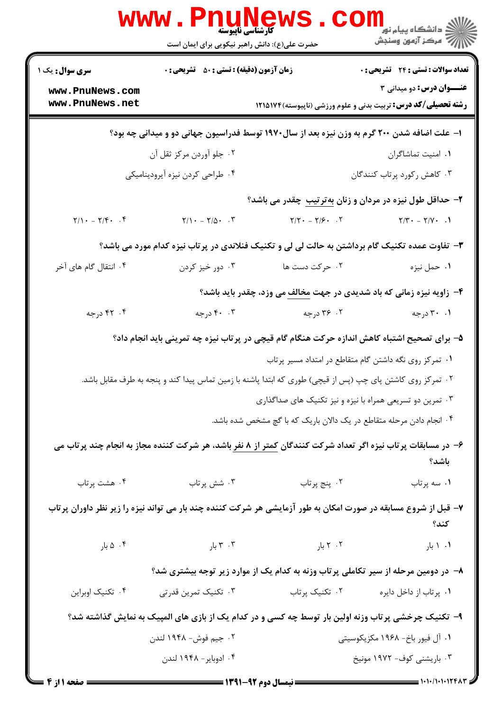|                                                                                                                        | WWW . E<br>حضرت علی(ع): دانش راهبر نیکویی برای ایمان است | كارشناسي ناپيوسته                                                                                           | ڪ دانشڪاه پيام نور<br><mark>∕</mark> 7 مرڪز آزمون وسنڊش                                                                       |  |
|------------------------------------------------------------------------------------------------------------------------|----------------------------------------------------------|-------------------------------------------------------------------------------------------------------------|-------------------------------------------------------------------------------------------------------------------------------|--|
| <b>سری سوال :</b> یک ۱                                                                                                 | <b>زمان آزمون (دقیقه) : تستی : 50 ٪ تشریحی : 0</b>       |                                                                                                             | تعداد سوالات : تستى : 24 - تشريحي : 0                                                                                         |  |
| www.PnuNews.com<br>www.PnuNews.net                                                                                     |                                                          |                                                                                                             | <b>عنـــوان درس:</b> دو میدانی ۳<br><b>رشته تحصیلی/کد درس:</b> تربیت بدنی و علوم ورزشی (ناپیوسته)121217۴                      |  |
|                                                                                                                        |                                                          |                                                                                                             |                                                                                                                               |  |
| ا– علت اضافه شدن ۲۰۰ گرم به وزن نیزه بعد از سال۱۹۷۰ توسط فدراسیون جهانی دو و میدانی چه بود؟                            |                                                          |                                                                                                             |                                                                                                                               |  |
|                                                                                                                        | ۰۲ جلو آوردن مرکز ثقل آن                                 |                                                                                                             | ٠١. امنيت تماشاگران                                                                                                           |  |
| ۰۳ کاهش رکورد پرتاب کنندگان<br>۰۴ طراحي كردن نيزه أيروديناميكي                                                         |                                                          |                                                                                                             |                                                                                                                               |  |
|                                                                                                                        |                                                          |                                                                                                             | ۲- حداقل طول نیزه در مردان و زنان بهترتیب چقدر می باشد؟                                                                       |  |
| $\mathsf{Y}/\mathsf{Y} - \mathsf{Y}/\mathsf{F} \cdot \cdot \mathsf{F}$                                                 | $Y/\prime - Y/\Delta - .T$                               | $Y/Y - Y/S - .Y$                                                                                            | $Y/Y - Y/Y - 1$                                                                                                               |  |
| ۳- تفاوت عمده تکنیک گام برداشتن به حالت لی لی و تکنیک فنلاندی در پر تاب نیزه کدام مورد می باشد؟                        |                                                          |                                                                                                             |                                                                                                                               |  |
| ۰۴ انتقال گام های آخر                                                                                                  | ۰۳ دور خیز کردن                                          | ۰۲ حرکت دست ها                                                                                              | ٠١ حمل نيزه                                                                                                                   |  |
|                                                                                                                        |                                                          |                                                                                                             | ۴- زاویه نیزه زمانی که باد شدیدی در جهت مخالف می وزد، چقدر باید باشد؟                                                         |  |
| ۴. ۴۲ درجه                                                                                                             | ۰. ۴۰ درجه                                               | ۰۲ ۳۶ درجه                                                                                                  | ۰۱ ۳۰ درجه                                                                                                                    |  |
| ۵– برای تصحیح اشتباه کاهش اندازه حرکت هنگام گام قیچی در پرتاب نیزه چه تمرینی باید انجام داد؟                           |                                                          |                                                                                                             |                                                                                                                               |  |
|                                                                                                                        |                                                          |                                                                                                             | ۰۱ تمرکز روی نگه داشتن گام متقاطع در امتداد مسیر پرتاب                                                                        |  |
|                                                                                                                        |                                                          | ۲ . تمرکز روی کاشتن پای چپ (پس از قیچی) طوری که ابتدا پاشنه با زمین تماس پیدا کند و پنجه به طرف مقابل باشد. |                                                                                                                               |  |
|                                                                                                                        |                                                          |                                                                                                             | ۰۳ تمرین دو تسریعی همراه با نیزه و نیز تکنیک های صداگذاری                                                                     |  |
|                                                                                                                        |                                                          | ۰۴ انجام دادن مرحله متقاطع در یک دالان باریک که با گچ مشخص شده باشد.                                        |                                                                                                                               |  |
|                                                                                                                        |                                                          |                                                                                                             | ۶– در مسابقات پر تاب نیزه اگر تعداد شرکت کنندگان <u>کمتر از ۸ نفر</u> باشد، هر شرکت کننده مجاز به انجام چند پرتاب می<br>باشد؟ |  |
| ۰۴ هشت پرتاب                                                                                                           | ۰۳ شش پرتاب                                              | ٢. پنج پرتاب                                                                                                | ٠١ سه پرتاب                                                                                                                   |  |
| ۷– قبل از شروع مسابقه در صورت امکان به طور آزمایشی هر شرکت کننده چند بار می تواند نیزه را زیر نظر داوران پرتاب<br>كند؟ |                                                          |                                                                                                             |                                                                                                                               |  |
| ۰۴ ۵ بار                                                                                                               | ۲۰۳ بار $\mathbf r$                                      | ۲۰۲ بار $\mathsf{S}^1$ ۰۲                                                                                   | ۰۱ ۱ بار                                                                                                                      |  |
|                                                                                                                        |                                                          |                                                                                                             | ۸– در دومین مرحله از سیر تکاملی پرتاب وزنه به کدام یک از موارد زیر توجه بیشتری شد؟                                            |  |
| ۰۴ تکنیک اوبراین                                                                                                       | ۰۳ تکنیک تمرین قدرتی                                     | ۰۲ تکنیک پرتاب                                                                                              | ۰۱ پرتاب از داخل دایره                                                                                                        |  |
| ۹- تکنیک چرخشی پرتاب وزنه اولین بار توسط چه کسی و در کدام یک از بازی های المپیک به نمایش گذاشته شد؟                    |                                                          |                                                                                                             |                                                                                                                               |  |
|                                                                                                                        | ۲ . جيم فوش- ۱۹۴۸ لندن                                   |                                                                                                             | ۰۱ آل فیور باخ– ۱۹۶۸ مکزیکوسیتی                                                                                               |  |
|                                                                                                                        | ۰۴ ادوباير – ۱۹۴۸ لندن                                   |                                                                                                             | ۰۳ باریشنی کوف- ۱۹۷۲ مونیخ                                                                                                    |  |
| $\frac{1}{2}$ (PA) $\frac{1}{2}$ (P) $\frac{1}{2}$ (P) $\frac{1}{2}$ (P) $\frac{1}{2}$ (P) $\frac{1}{2}$               |                                                          |                                                                                                             |                                                                                                                               |  |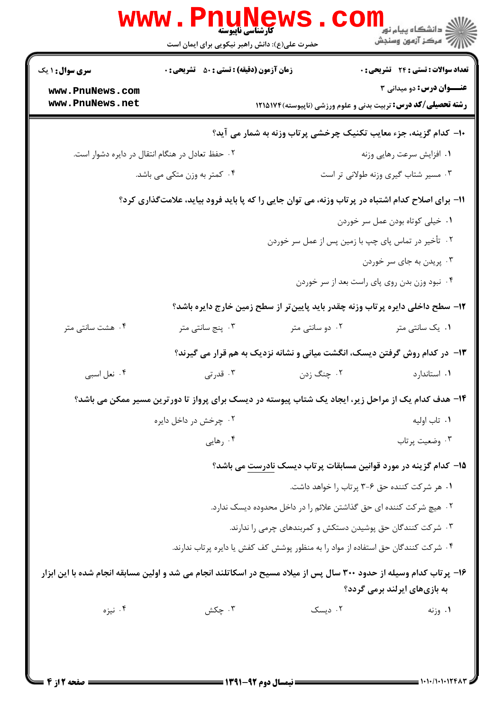|                                    | <b>www.PnuNews</b><br>حضرت علی(ع): دانش راهبر نیکویی برای ایمان است | كارشناسي ناپيوسته | ڪ دانشڪاه پيام نور<br>ا∛ مرڪز آزمون وسنڊش                                                                                                           |
|------------------------------------|---------------------------------------------------------------------|-------------------|-----------------------------------------------------------------------------------------------------------------------------------------------------|
| <b>سری سوال : ۱ یک</b>             | <b>زمان آزمون (دقیقه) : تستی : 50 ٪ تشریحی : 0</b>                  |                   | <b>تعداد سوالات : تستی : 24 گشریحی : 0</b>                                                                                                          |
| www.PnuNews.com<br>www.PnuNews.net |                                                                     |                   | <b>عنـــوان درس:</b> دو میدانی ۳<br><b>رشته تحصیلی/کد درس:</b> تربیت بدنی و علوم ورزشی (ناپیوسته) ۱۲۱۵۱۷۴                                           |
|                                    |                                                                     |                   | ∙ا− کدام گزینه، جزء معایب تکنیک چرخشی پرتاب وزنه به شمار می آید؟                                                                                    |
|                                    | ۰۲ حفظ تعادل در هنگام انتقال در دایره دشوار است.                    |                   | ٠١ افزايش سرعت رهايي وزنه                                                                                                                           |
|                                    | ۰۴ کمتر به وزن متکی می باشد.                                        |                   | ۰۳ مسیر شتاب گیری وزنه طولانی تر است                                                                                                                |
|                                    |                                                                     |                   | 11- برای اصلاح کدام اشتباه در پرتاب وزنه، می توان جایی را که پا باید فرود بیاید، علامتگذاری کرد؟                                                    |
|                                    |                                                                     |                   | ٠١ خيلي كوتاه بودن عمل سر خوردن                                                                                                                     |
|                                    |                                                                     |                   | ۰۲ تأخیر در تماس پای چپ با زمین پس از عمل سر خوردن                                                                                                  |
|                                    |                                                                     |                   | ۰۳ پریدن به جای سر خوردن                                                                                                                            |
|                                    |                                                                     |                   | ۰۴ نبود وزن بدن روی پای راست بعد از سر خوردن                                                                                                        |
|                                    |                                                                     |                   | ۱۲– سطح داخلی دایره پرتاب وزنه چقدر باید پایینتر از سطح زمین خارج دایره باشد؟                                                                       |
| ۰۴ هشت سانتی متر                   | ۰۳ پنج سانتی متر                                                    | ۰۲ دو سانتی متر   | ۰۱ یک سانتی متر                                                                                                                                     |
|                                    |                                                                     |                   | ۱۳- در کدام روش گرفتن دیسک، انگشت میانی و نشانه نزدیک به هم قرار می گیرند؟                                                                          |
| ۰۴ نعل اسبي                        | ۰۳ قدرتی                                                            | ۰۲ چنگ زدن        | ٠١. استاندارد                                                                                                                                       |
|                                    |                                                                     |                   | ۱۴- هدف کدام یک از مراحل زیر، ایجاد یک شتاب پیوسته در دیسک برای پرواز تا دورترین مسیر ممکن می باشد؟                                                 |
|                                    | ۰۲ چرخش در داخل دایره                                               |                   | ٠١. تاب اوليه                                                                                                                                       |
|                                    | ۰۴ رهایی                                                            |                   | ۰۳ وضعيت پرتاب                                                                                                                                      |
|                                    |                                                                     |                   | ۱۵– کدام گزینه در مورد قوانین مسابقات پرتاب دیسک نادرست می باشد؟                                                                                    |
|                                    |                                                                     |                   | ۰۱ هر شرکت کننده حق ۶-۳ پرتاب را خواهد داشت.                                                                                                        |
|                                    |                                                                     |                   | ۰۲ هیچ شرکت کننده ای حق گذاشتن علائم را در داخل محدوده دیسک ندارد.                                                                                  |
|                                    |                                                                     |                   | ۰۳ شرکت کنندگان حق پوشیدن دستکش و کمربندهای چرمی را ندارند.                                                                                         |
|                                    |                                                                     |                   | ۰۴ شرکت کنندگان حق استفاده از مواد را به منظور پوشش کف کفش یا دایره پرتاب ندارند.                                                                   |
|                                    |                                                                     |                   | ۱۶– پرتاب کدام وسیله از حدود ۳۰۰ سال پس از میلاد مسیح در اسکاتلند انجام می شد و اولین مسابقه انجام شده با این ابزار<br>به بازیهای ایرلند برمی گردد؟ |
| ۰۴ نیزه                            | ۰۳ چکش                                                              | ۰۲ دیسک           | ۰۱ وزنه                                                                                                                                             |
|                                    |                                                                     |                   |                                                                                                                                                     |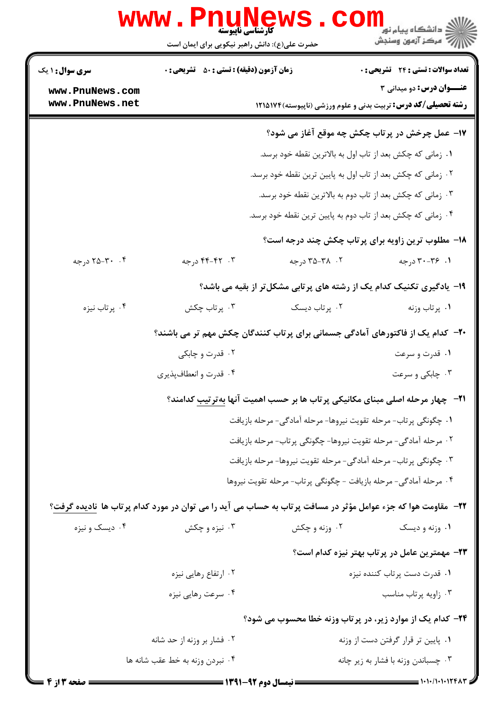| <b>WWW.PnuNews</b><br><b>کارشناسی ناپیوسته</b>                    |                                                                                |                 |                                                                                                                 |  |  |
|-------------------------------------------------------------------|--------------------------------------------------------------------------------|-----------------|-----------------------------------------------------------------------------------------------------------------|--|--|
|                                                                   | حضرت علی(ع): دانش راهبر نیکویی برای ایمان است                                  |                 | ر دانشگاه پیام نور<br>ا <mark>ر</mark> ≂ مرکز آزمون وسنجش                                                       |  |  |
| <b>سری سوال : ۱ یک</b>                                            | <b>زمان آزمون (دقیقه) : تستی : 50 ٪ تشریحی : 0</b>                             |                 | تعداد سوالات : تستي : 24 گشريحي : 0                                                                             |  |  |
| www.PnuNews.com                                                   |                                                                                |                 | <b>عنـــوان درس:</b> دو میدانی ۳                                                                                |  |  |
| www.PnuNews.net                                                   |                                                                                |                 | <b>رشته تحصیلی/کد درس:</b> تربیت بدنی و علوم ورزشی (ناپیوسته) ۱۲۱۵۱۷۴                                           |  |  |
|                                                                   |                                                                                |                 | ۱۷- عمل چرخش در پرتاب چکش چه موقع آغاز می شود؟                                                                  |  |  |
|                                                                   |                                                                                |                 | ۰۱ زمانی که چکش بعد از تاب اول به بالاترین نقطه خود برسد.                                                       |  |  |
|                                                                   |                                                                                |                 | ۰۲ زمانی که چکش بعد از تاب اول به پایین ترین نقطه خود برسد.                                                     |  |  |
|                                                                   |                                                                                |                 | ۰۳ زمانی که چکش بعد از تاب دوم به بالاترین نقطه خود برسد.                                                       |  |  |
|                                                                   |                                                                                |                 | ۰۴ زمانی که چکش بعد از تاب دوم به پایین ترین نقطه خود برسد.                                                     |  |  |
|                                                                   |                                                                                |                 | ۱۸- مطلوب ترین زاویه برای پرتاب چکش چند درجه است؟                                                               |  |  |
| ۰۴ ۲۵-۲۵ درجه                                                     | ۰۳ - ۴۲-۴۴ درجه                                                                | ۰۲ ـ ۳۵-۳۵ درجه | ۰۱. ۳۰-۳۰ درجه                                                                                                  |  |  |
|                                                                   |                                                                                |                 | ۱۹- یادگیری تکنیک کدام یک از رشته های پرتابی مشکل تر از بقیه می باشد؟                                           |  |  |
| ۰۴ پرتاب نیزه                                                     | ۰۳ پرتاب چکش                                                                   | ۰۲ پرتاب دیسک   | ٠١. پرتاب وزنه                                                                                                  |  |  |
|                                                                   | ۲۰– کدام یک از فاکتورهای آمادگی جسمانی برای پرتاب کنندگان چکش مهم تر می باشند؟ |                 |                                                                                                                 |  |  |
|                                                                   | ۰۲ قدرت و چابکی                                                                |                 | ۰۱ قدرت و سرعت                                                                                                  |  |  |
|                                                                   | ۰۴ قدرت و انعطافپذیری                                                          |                 | ۰۳ چابکی و سرعت                                                                                                 |  |  |
|                                                                   |                                                                                |                 | <b>۲۱</b> - چهار مرحله اصلی مبنای مکانیکی پرتاب ها بر حسب اهمیت آنها بهترتیب کدامند؟                            |  |  |
|                                                                   | 1. چگونگی پرتاب- مرحله تقویت نیروها- مرحله آمادگی- مرحله بازیافت               |                 |                                                                                                                 |  |  |
| ۲ . مرحله آمادگی- مرحله تقویت نیروها- چگونگی پرتاب- مرحله بازیافت |                                                                                |                 |                                                                                                                 |  |  |
|                                                                   |                                                                                |                 | ۰۳ چگونگی پرتاب- مرحله آمادگی- مرحله تقویت نیروها- مرحله بازیافت                                                |  |  |
|                                                                   |                                                                                |                 | ۰۴ مرحله آمادگی- مرحله بازیافت - چگونگی پرتاب- مرحله تقویت نیروها                                               |  |  |
|                                                                   |                                                                                |                 | ۲۲–   مقاومت هوا که جزء عوامل مؤثر در مسافت پرتاب به حساب می آید را می توان در مورد کدام پرتاب ها  نادیده گرفت؟ |  |  |
| ۰۴ ديسک و نيزه                                                    | ۰۳ نیزه و چکش                                                                  | ۰۲ وزنه و چکش   | ۰۱ وزنه و ديسک                                                                                                  |  |  |
|                                                                   |                                                                                |                 | ۲۳- مهمترین عامل در پرتاب بهتر نیزه کدام است؟                                                                   |  |  |
|                                                                   | ۰۲ ارتفاع رهایی نیزه                                                           |                 | ۰۱ قدرت دست پرتاب کننده نیزه                                                                                    |  |  |
|                                                                   | ۰۴ سرعت رهایی نیزه                                                             |                 | ۰۳ زاويه پرتاب مناسب                                                                                            |  |  |
|                                                                   |                                                                                |                 | <b>34- کدام یک از موارد زیر، در پرتاب وزنه خطا محسوب می شود؟</b>                                                |  |  |
|                                                                   | ۰۲ فشار بر وزنه از حد شانه                                                     |                 | ۰۱ پایین تر قرار گرفتن دست از وزنه                                                                              |  |  |
|                                                                   | ۰۴ نبردن وزنه به خط عقب شانه ها                                                |                 | ۰۳ چسباندن وزنه با فشار به زير چانه                                                                             |  |  |
|                                                                   |                                                                                |                 |                                                                                                                 |  |  |

1.1./1.1.1248